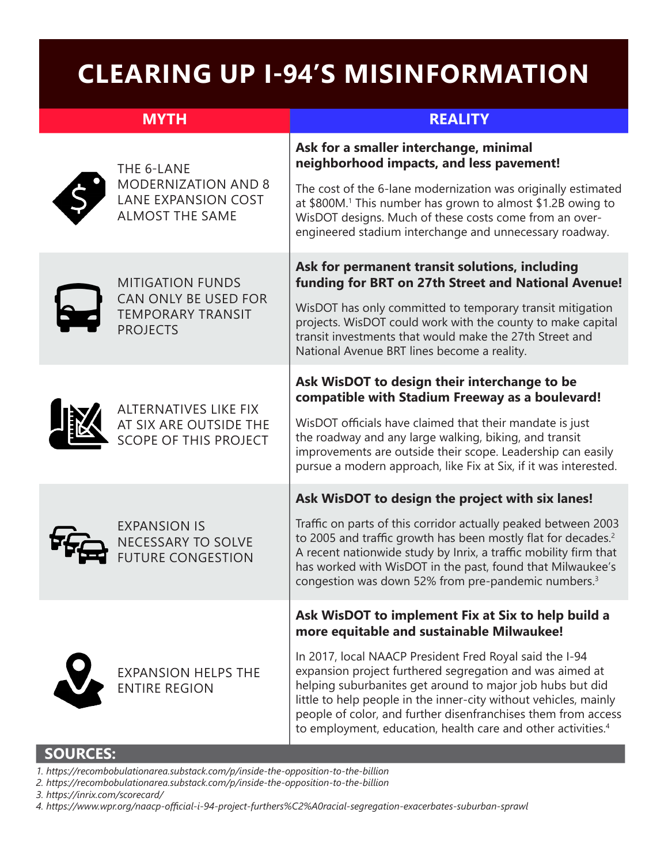## **CLEARING UP I-94'S MISINFORMATION**

| <b>MYTH</b> |                                                                                                  | <b>REALITY</b>                                                                                                                                                                                                                                                                                                                                                                                                                                                                                       |
|-------------|--------------------------------------------------------------------------------------------------|------------------------------------------------------------------------------------------------------------------------------------------------------------------------------------------------------------------------------------------------------------------------------------------------------------------------------------------------------------------------------------------------------------------------------------------------------------------------------------------------------|
|             | THE 6-LANE<br><b>MODERNIZATION AND 8</b><br><b>LANE EXPANSION COST</b><br><b>ALMOST THE SAME</b> | Ask for a smaller interchange, minimal<br>neighborhood impacts, and less pavement!<br>The cost of the 6-lane modernization was originally estimated<br>at \$800M. <sup>1</sup> This number has grown to almost \$1.2B owing to<br>WisDOT designs. Much of these costs come from an over-<br>engineered stadium interchange and unnecessary roadway.                                                                                                                                                  |
|             | <b>MITIGATION FUNDS</b><br>CAN ONLY BE USED FOR<br><b>TEMPORARY TRANSIT</b><br><b>PROJECTS</b>   | Ask for permanent transit solutions, including<br>funding for BRT on 27th Street and National Avenue!<br>WisDOT has only committed to temporary transit mitigation<br>projects. WisDOT could work with the county to make capital<br>transit investments that would make the 27th Street and<br>National Avenue BRT lines become a reality.                                                                                                                                                          |
|             | <b>ALTERNATIVES LIKE FIX</b><br>AT SIX ARE OUTSIDE THE<br><b>SCOPE OF THIS PROJECT</b>           | Ask WisDOT to design their interchange to be<br>compatible with Stadium Freeway as a boulevard!<br>WisDOT officials have claimed that their mandate is just<br>the roadway and any large walking, biking, and transit<br>improvements are outside their scope. Leadership can easily<br>pursue a modern approach, like Fix at Six, if it was interested.                                                                                                                                             |
|             | <b>EXPANSION IS</b><br><b>NECESSARY TO SOLVE</b><br><b>FUTURE CONGESTION</b>                     | Ask WisDOT to design the project with six lanes!<br>Traffic on parts of this corridor actually peaked between 2003<br>to 2005 and traffic growth has been mostly flat for decades. <sup>2</sup><br>A recent nationwide study by Inrix, a traffic mobility firm that<br>has worked with WisDOT in the past, found that Milwaukee's<br>congestion was down 52% from pre-pandemic numbers. <sup>3</sup>                                                                                                 |
|             | <b>EXPANSION HELPS THE</b><br><b>ENTIRE REGION</b>                                               | Ask WisDOT to implement Fix at Six to help build a<br>more equitable and sustainable Milwaukee!<br>In 2017, local NAACP President Fred Royal said the I-94<br>expansion project furthered segregation and was aimed at<br>helping suburbanites get around to major job hubs but did<br>little to help people in the inner-city without vehicles, mainly<br>people of color, and further disenfranchises them from access<br>to employment, education, health care and other activities. <sup>4</sup> |

## **SOURCES:**

- *1. https://recombobulationarea.substack.com/p/inside-the-opposition-to-the-billion*
- *2. https://recombobulationarea.substack.com/p/inside-the-opposition-to-the-billion*

*3. https://inrix.com/scorecard/*

*4. https://www.wpr.org/naacp-official-i-94-project-furthers%C2%A0racial-segregation-exacerbates-suburban-sprawl*